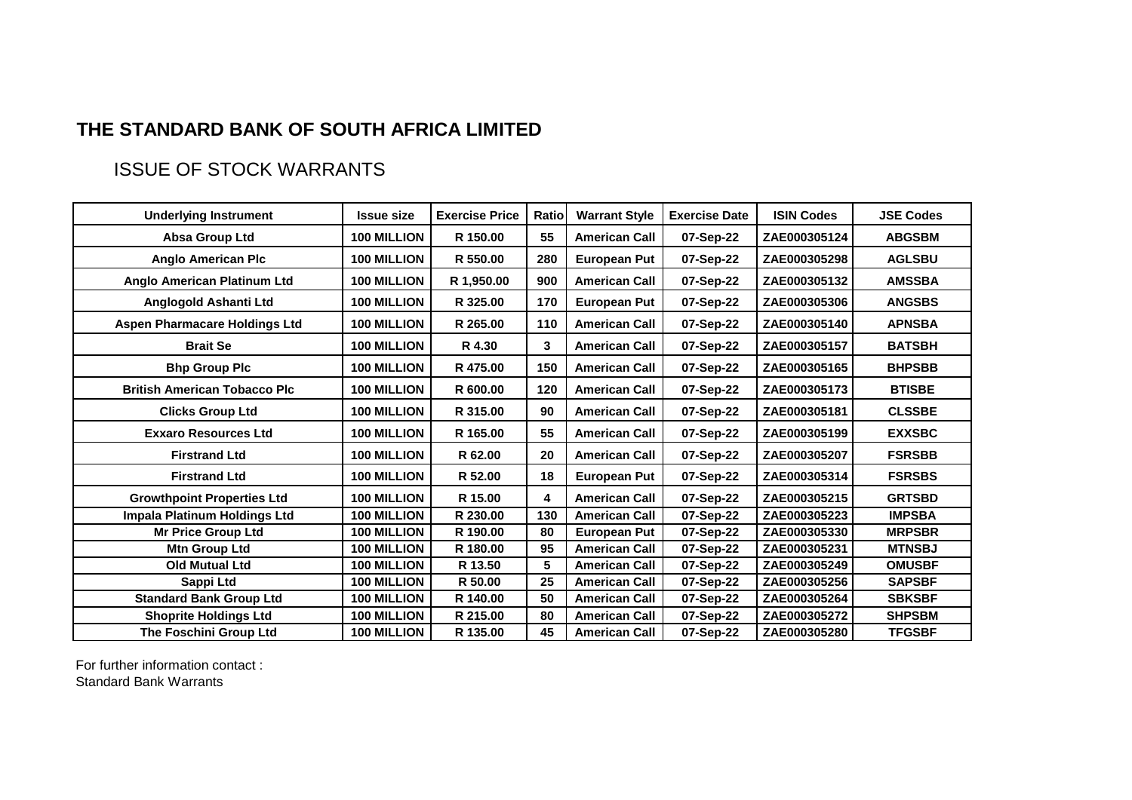## **THE STANDARD BANK OF SOUTH AFRICA LIMITED**

## ISSUE OF STOCK WARRANTS

| <b>Underlying Instrument</b>         | <b>Issue size</b>  | <b>Exercise Price</b> | <b>Ratio</b> | <b>Warrant Style</b> | <b>Exercise Date</b> | <b>ISIN Codes</b> | <b>JSE Codes</b> |
|--------------------------------------|--------------------|-----------------------|--------------|----------------------|----------------------|-------------------|------------------|
| Absa Group Ltd                       | <b>100 MILLION</b> | R 150.00              | 55           | <b>American Call</b> | 07-Sep-22            | ZAE000305124      | <b>ABGSBM</b>    |
| <b>Anglo American Plc</b>            | <b>100 MILLION</b> | R 550.00              | 280          | <b>European Put</b>  | 07-Sep-22            | ZAE000305298      | <b>AGLSBU</b>    |
| Anglo American Platinum Ltd          | <b>100 MILLION</b> | R 1,950.00            | 900          | <b>American Call</b> | 07-Sep-22            | ZAE000305132      | <b>AMSSBA</b>    |
| Anglogold Ashanti Ltd                | <b>100 MILLION</b> | R 325.00              | 170          | <b>European Put</b>  | 07-Sep-22            | ZAE000305306      | <b>ANGSBS</b>    |
| <b>Aspen Pharmacare Holdings Ltd</b> | 100 MILLION        | R 265.00              | 110          | <b>American Call</b> | 07-Sep-22            | ZAE000305140      | <b>APNSBA</b>    |
| <b>Brait Se</b>                      | 100 MILLION        | R 4.30                | 3            | <b>American Call</b> | 07-Sep-22            | ZAE000305157      | <b>BATSBH</b>    |
| <b>Bhp Group Plc</b>                 | <b>100 MILLION</b> | R 475.00              | 150          | <b>American Call</b> | 07-Sep-22            | ZAE000305165      | <b>BHPSBB</b>    |
| <b>British American Tobacco Plc</b>  | <b>100 MILLION</b> | R 600.00              | 120          | <b>American Call</b> | 07-Sep-22            | ZAE000305173      | <b>BTISBE</b>    |
| <b>Clicks Group Ltd</b>              | 100 MILLION        | R 315.00              | 90           | <b>American Call</b> | 07-Sep-22            | ZAE000305181      | <b>CLSSBE</b>    |
| <b>Exxaro Resources Ltd</b>          | <b>100 MILLION</b> | R 165.00              | 55           | <b>American Call</b> | 07-Sep-22            | ZAE000305199      | <b>EXXSBC</b>    |
| <b>Firstrand Ltd</b>                 | <b>100 MILLION</b> | R 62.00               | 20           | <b>American Call</b> | 07-Sep-22            | ZAE000305207      | <b>FSRSBB</b>    |
| <b>Firstrand Ltd</b>                 | <b>100 MILLION</b> | R 52.00               | 18           | <b>European Put</b>  | 07-Sep-22            | ZAE000305314      | <b>FSRSBS</b>    |
| <b>Growthpoint Properties Ltd</b>    | 100 MILLION        | R 15.00               | 4            | <b>American Call</b> | 07-Sep-22            | ZAE000305215      | <b>GRTSBD</b>    |
| Impala Platinum Holdings Ltd         | 100 MILLION        | R 230.00              | 130          | <b>American Call</b> | 07-Sep-22            | ZAE000305223      | <b>IMPSBA</b>    |
| <b>Mr Price Group Ltd</b>            | <b>100 MILLION</b> | R 190.00              | 80           | <b>European Put</b>  | 07-Sep-22            | ZAE000305330      | <b>MRPSBR</b>    |
| <b>Mtn Group Ltd</b>                 | <b>100 MILLION</b> | R 180.00              | 95           | <b>American Call</b> | 07-Sep-22            | ZAE000305231      | <b>MTNSBJ</b>    |
| <b>Old Mutual Ltd</b>                | 100 MILLION        | R 13.50               | 5            | <b>American Call</b> | 07-Sep-22            | ZAE000305249      | <b>OMUSBF</b>    |
| Sappi Ltd                            | 100 MILLION        | R 50.00               | 25           | <b>American Call</b> | 07-Sep-22            | ZAE000305256      | <b>SAPSBF</b>    |
| <b>Standard Bank Group Ltd</b>       | 100 MILLION        | R 140.00              | 50           | <b>American Call</b> | 07-Sep-22            | ZAE000305264      | <b>SBKSBF</b>    |
| <b>Shoprite Holdings Ltd</b>         | 100 MILLION        | R 215.00              | 80           | <b>American Call</b> | 07-Sep-22            | ZAE000305272      | <b>SHPSBM</b>    |
| <b>The Foschini Group Ltd</b>        | <b>100 MILLION</b> | R 135.00              | 45           | <b>American Call</b> | 07-Sep-22            | ZAE000305280      | <b>TFGSBF</b>    |

For further information contact : Standard Bank Warrants